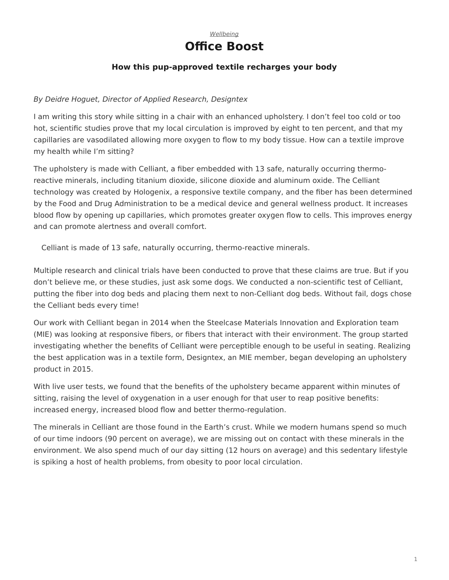

## **How this pup-approved textile recharges your body**

## <span id="page-0-0"></span>*By Deidre Hoguet, Director of Applied Research, Designtex*

I am writing this story while sitting in a chair with an enhanced upholstery. I don't feel too cold or too hot, scientific studies prove that my local circulation is improved by eight to ten percent, and that my capillaries are vasodilated allowing more oxygen to flow to my body tissue. How can a textile improve my health while I'm sitting?

The upholstery is made with Celliant, a fiber embedded with 13 safe, naturally occurring thermoreactive minerals, including titanium dioxide, silicone dioxide and aluminum oxide. The Celliant technology was created by Hologenix, a responsive textile company, and the fiber has been determined by the Food and Drug Administration to be a medical device and general wellness product. It increases blood flow by opening up capillaries, which promotes greater oxygen flow to cells. This improves energy and can promote alertness and overall comfort.

Celliant is made of 13 safe, naturally occurring, thermo-reactive minerals.

Multiple research and clinical trials have been conducted to prove that these claims are true. But if you don't believe me, or these studies, just ask some dogs. We conducted a non-scientific test of Celliant, putting the fiber into dog beds and placing them next to non-Celliant dog beds. Without fail, dogs chose the Celliant beds every time!

Our work with Celliant began in 2014 when the Steelcase Materials Innovation and Exploration team (MIE) was looking at responsive fibers, or fibers that interact with their environment. The group started investigating whether the benefits of Celliant were perceptible enough to be useful in seating. Realizing the best application was in a textile form, Designtex, an MIE member, began developing an upholstery product in 2015.

With live user tests, we found that the benefits of the upholstery became apparent within minutes of sitting, raising the level of oxygenation in a user enough for that user to reap positive benefits: increased energy, increased blood flow and better thermo-regulation.

The minerals in Celliant are those found in the Earth's crust. While we modern humans spend so much of our time indoors (90 percent on average), we are missing out on contact with these minerals in the environment. We also spend much of our day sitting (12 hours on average) and this sedentary lifestyle is spiking a host of health problems, from obesity to poor local circulation.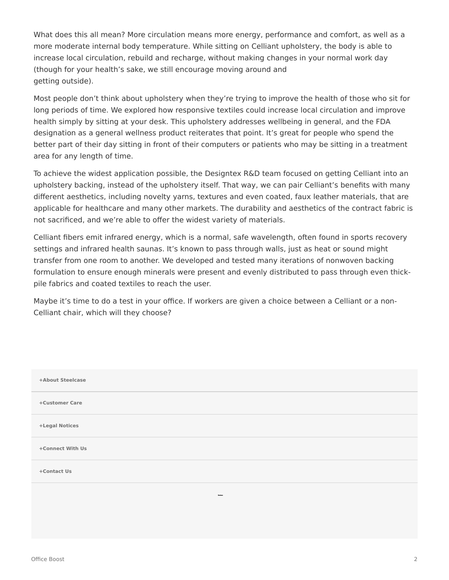What does this all mean? More circulation means more energy, performance and comfort, as well as a more moderate internal body temperature. While sitting on Celliant upholstery, the body is able to increase local circulation, rebuild and recharge, without making changes in your normal work day (though for your health's sake, we still encourage moving around and getting outside).

Most people don't think about upholstery when they're trying to improve the health of those who sit for long periods of time. We explored how responsive textiles could increase local circulation and improve health simply by sitting at your desk. This upholstery addresses wellbeing in general, and the FDA designation as a general wellness product reiterates that point. It's great for people who spend the better part of their day sitting in front of their computers or patients who may be sitting in a treatment area for any length of time.

To achieve the widest application possible, the Designtex R&D team focused on getting Celliant into an upholstery backing, instead of the upholstery itself. That way, we can pair Celliant's benefits with many different aesthetics, including novelty yarns, textures and even coated, faux leather materials, that are applicable for healthcare and many other markets. The durability and aesthetics of the contract fabric is not sacrificed, and we're able to offer the widest variety of materials.

Celliant fibers emit infrared energy, which is a normal, safe wavelength, often found in sports recovery settings and infrared health saunas. It's known to pass through walls, just as heat or sound might transfer from one room to another. We developed and tested many iterations of nonwoven backing formulation to ensure enough minerals were present and evenly distributed to pass through even thickpile fabrics and coated textiles to reach the user.

Maybe it's time to do a test in your office. If workers are given a choice between a Celliant or a non-Celliant chair, which will they choose?

| +About Steelcase |  |
|------------------|--|
| +Customer Care   |  |
| +Legal Notices   |  |
| +Connect With Us |  |
| +Contact Us      |  |
| <b>Stockcook</b> |  |
|                  |  |